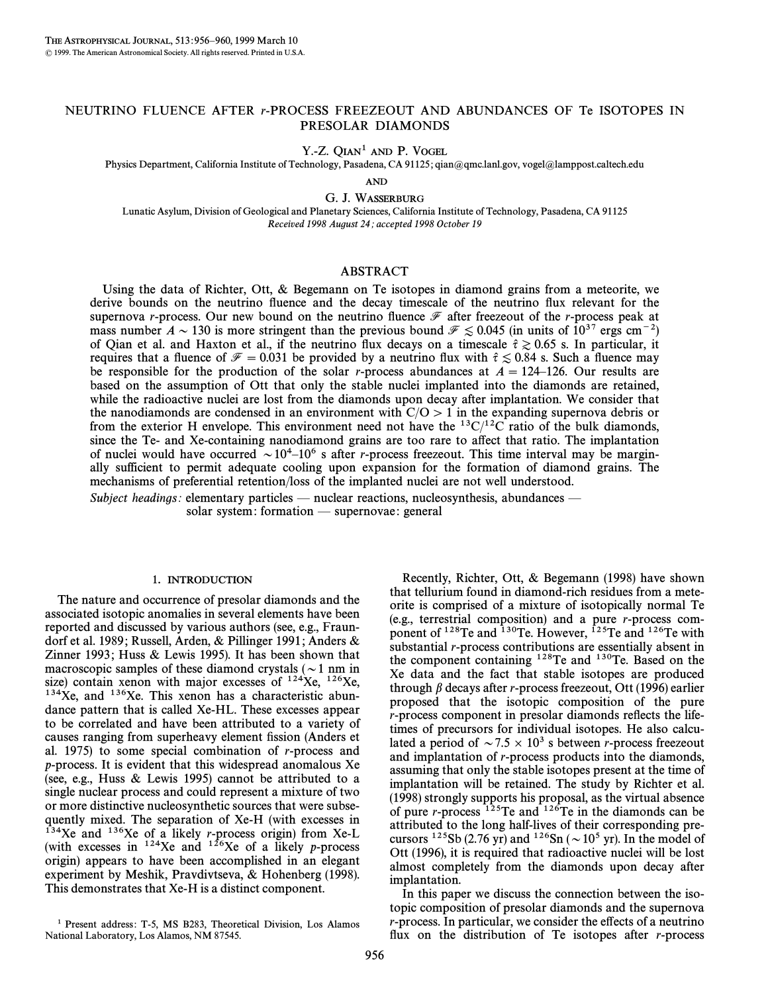# NEUTRINO FLUENCE AFTER r-PROCESS FREEZEOUT AND ABUNDANCES OF Te ISOTOPES IN PRESOLAR DIAMONDS

Y.-Z. QIAN<sup>1</sup> AND P. VOGEL

Physics Department, California Institute of Technology, Pasadena, CA 91125; qian@qmc.lanl.gov, vogel@lamppost.caltech.edu

AND

G. J. WASSERBURG

Lunatic Asylum, Division of Geological and Planetary Sciences, California Institute of Technology, Pasadena, CA 91125 Received 1998 August 24; accepted 1998 October 19

## ABSTRACT

Using the data of Richter, Ott, & Begemann on Te isotopes in diamond grains from a meteorite, we derive bounds on the neutrino fluence and the decay timescale of the neutrino flux relevant for the supernova r-process. Our new bound on the neutrino fluence  $\mathcal F$  after freezeout of the r-process peak at mass number  $A \sim 130$  is more stringent than the previous bound  $\mathcal{F} \leq 0.045$  (in units of  $10^{37}$  ergs cm<sup>-2</sup>) of Qian et al. and Haxton et al., if the neutrino flux decays on a timescale  $\hat{\tau} \ge 0.65$  s. In particular, it requires that a fluence of  $\mathcal{F} = 0.031$  be provided by a neutrino flux with  $\hat{\tau} \lesssim 0.84$  s. Such a fluence may be responsible for the production of the solar r-process abundances at  $A=124-126$ . Our results are based on the assumption of Ott that only the stable nuclei implanted into the diamonds are retained, while the radioactive nuclei are lost from the diamonds upon decay after implantation. We consider that the nanodiamonds are condensed in an environment with  $C/O > 1$  in the expanding supernova debris or from the exterior H envelope. This environment need not have the  $^{13}C/^{12}C$  ratio of the bulk diamonds, since the Te- and Xe-containing nanodiamond grains are too rare to a†ect that ratio. The implantation of nuclei would have occurred  $\sim 10^{4}-10^{6}$  s after r-process freezeout. This time interval may be marginally sufficient to permit adequate cooling upon expansion for the formation of diamond grains. The mechanisms of preferential retention/loss of the implanted nuclei are not well understood.

Subject headings: elementary particles — nuclear reactions, nucleosynthesis, abundances —

solar system: formation  $-\text{supernovae}$ : general

#### 1. INTRODUCTION

The nature and occurrence of presolar diamonds and the associated isotopic anomalies in several elements have been reported and discussed by various authors (see, e.g., Fraundorf et al. 1989 ; Russell, Arden, & Pillinger 1991 ; Anders & Zinner 1993; Huss  $&$  Lewis 1995). It has been shown that macroscopic samples of these diamond crystals ( $\sim$ 1 nm in size) contain xenon with major excesses of  $124Xe$ ,  $126Xe$ ,  $134Xe$ , and  $136Xe$ . This xenon has a characteristic abundance pattern that is called Xe-HL. These excesses appear to be correlated and have been attributed to a variety of causes ranging from superheavy element fission (Anders et al. 1975) to some special combination of r-process and p-process. It is evident that this widespread anomalous Xe (see, e.g., Huss & Lewis 1995) cannot be attributed to a single nuclear process and could represent a mixture of two or more distinctive nucleosynthetic sources that were subsequently mixed. The separation of Xe-H (with excesses in  $134Xe$  and  $136Xe$  of a likely *r*-process origin) from Xe-L (with excesses in  $124Xe$  and  $126Xe$  of a likely p-process origin) appears to have been accomplished in an elegant experiment by Meshik, Pravdivtseva, & Hohenberg (1998). This demonstrates that Xe-H is a distinct component.

Recently, Richter, Ott, & Begemann (1998) have shown that tellurium found in diamond-rich residues from a meteorite is comprised of a mixture of isotopically normal Te (e.g., terrestrial composition) and a pure r-process component of <sup>128</sup>Te and <sup>130</sup>Te. However, <sup>125</sup>Te and <sup>126</sup>Te with substantial r-process contributions are essentially absent in the component containing 128Te and 130Te. Based on the Xe data and the fact that stable isotopes are produced through  $\beta$  decays after r-process freezeout, Ott (1996) earlier proposed that the isotopic composition of the pure r-process component in presolar diamonds reflects the lifetimes of precursors for individual isotopes. He also calculated a period of  $\sim 7.5 \times 10^3$  s between r-process freezeout and implantation of r-process products into the diamonds, assuming that only the stable isotopes present at the time of implantation will be retained. The study by Richter et al. (1998) strongly supports his proposal, as the virtual absence of pure *r*-process  $^{125}$ Te and  $^{126}$ Te in the diamonds can be attributed to the long half-lives of their corresponding precursors <sup>125</sup>Sb (2.76 yr) and <sup>126</sup>Sn ( $\sim$  10<sup>5</sup> yr). In the model of Ott (1996), it is required that radioactive nuclei will be lost almost completely from the diamonds upon decay after implantation.

In this paper we discuss the connection between the isotopic composition of presolar diamonds and the supernova  $r$ -process. In particular, we consider the effects of a neutrino flux on the distribution of Te isotopes after  $r$ -process

<sup>&</sup>lt;sup>1</sup> Present address: T-5, MS B283, Theoretical Division, Los Alamos National Laboratory, Los Alamos, NM 87545.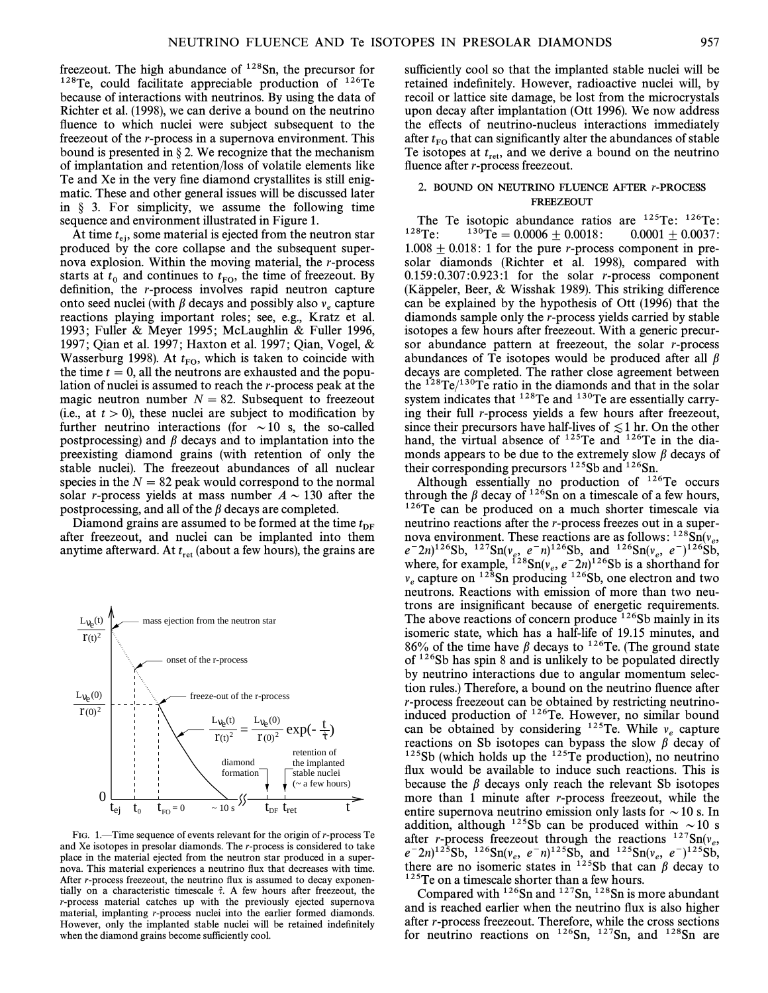freezeout. The high abundance of  $128$ Sn, the precursor for  $128$ Te, could facilitate appreciable production of  $126$ Te because of interactions with neutrinos. By using the data of Richter et al. (1998), we can derive a bound on the neutrino fluence to which nuclei were subject subsequent to the freezeout of the r-process in a supernova environment. This bound is presented in  $\S 2$ . We recognize that the mechanism of implantation and retention/loss of volatile elements like Te and Xe in the very fine diamond crystallites is still enigmatic. These and other general issues will be discussed later in  $\S$  3. For simplicity, we assume the following time sequence and environment illustrated in Figure 1.

At time  $t_{\text{ej}}$ , some material is ejected from the neutron star<br>oduced by the core collapse and the subsequent superproduced by the core collapse and the subsequent supernova explosion. Within the moving material, the r-process starts at  $t_0$  and continues to  $t_{\text{FO}}$ , the time of freezeout. By definition, the r process involves rapid neutron conture definition, the  $r$ -process involves rapid neutron capture onto seed nuclei (with  $\beta$  decays and possibly also  $v_e$  capture reactions playing important roles; see, e.g., Kratz et al. 1993; Fuller & Meyer 1995; McLaughlin & Fuller 1996, 1997; Qian et al. 1997; Haxton et al. 1997; Qian, Vogel, & Wasserburg 1998). At  $t_{\rm FO}$ , which is taken to coincide with the time  $t = 0$ , all the neutrons are exhausted and the nonuthe time  $t = 0$ , all the neutrons are exhausted and the population of nuclei is assumed to reach the r-process peak at the magic neutron number  $N = 82$ . Subsequent to freezeout (i.e., at  $t > 0$ ), these nuclei are subject to modification by further neutrino interactions (for  $\sim$  10 s, the so-called postprocessing) and  $\beta$  decays and to implantation into the preexisting diamond grains (with retention of only the stable nuclei). The freezeout abundances of all nuclear species in the  $N = 82$  peak would correspond to the normal solar r-process yields at mass number  $A \sim 130$  after the postprocessing, and all of the  $\beta$  decays are completed.

Diamond grains are assumed to be formed at the time  $t_{\text{DF}}$ after freezeout, and nuclei can be implanted into them anytime afterward. At  $t_{\text{ret}}$  (about a few hours), the grains are



FIG. 1<sup> $-$ Time sequence of events relevant for the origin of r-process Te</sup> and Xe isotopes in presolar diamonds. The r-process is considered to take place in the material ejected from the neutron star produced in a supernova. This material experiences a neutrino flux that decreases with time. After  $r$ -process freezeout, the neutrino flux is assumed to decay exponentially on a characteristic timescale  $\hat{\tau}$ . A few hours after freezeout, the r-process material catches up with the previously ejected supernova material, implanting r-process nuclei into the earlier formed diamonds. However, only the implanted stable nuclei will be retained indefinitely when the diamond grains become sufficiently cool.

sufficiently cool so that the implanted stable nuclei will be retained indefinitely. However, radioactive nuclei will, by recoil or lattice site damage, be lost from the microcrystals upon decay after implantation (Ott 1996). We now address the effects of neutrino-nucleus interactions immediately after  $t_{\rm FO}$  that can significantly alter the abundances of stable Te isotopes at  $t_{\text{rel}}$  and we derive a bound on the neutrino  $\Gamma$  and  $\Gamma$  and we derive a bound on the neutrino fluence after  $r$ -process freezeout.

## 2. BOUND ON NEUTRINO FLUENCE AFTER r-PROCESS FREEZEOUT

The Te isotopic abundance ratios are <sup>125</sup>Te: <sup>126</sup>Te:<br><sup>128</sup>Te: <sup>130</sup>Te = 0.0006 + 0.0018: 0.0001 + 0.0037:  $130\text{Te} = 0.0006 \pm 0.0018$  : 0.0001  $\pm$  0.0037 :  $1.008 \pm 0.018$ : 1 for the pure r-process component in presolar diamonds (Richter et al. 1998), compared with  $0.159:0.307:0.923:1$  for the solar r-process component (Käppeler, Beer,  $&$  Wisshak 1989). This striking difference can be explained by the hypothesis of Ott (1996) that the diamonds sample only the r-process yields carried by stable isotopes a few hours after freezeout. With a generic precursor abundance pattern at freezeout, the solar r-process abundances of Te isotopes would be produced after all  $\beta$ decays are completed. The rather close agreement between the  $128$ Te/ $130$ Te ratio in the diamonds and that in the solar system indicates that  $128$ Te and  $130$ Te are essentially carrying their full r-process yields a few hours after freezeout, since their precursors have half-lives of  $\leq 1$  hr. On the other hand, the virtual absence of  $^{125}$ Te and  $^{126}$ Te in the diamonds appears to be due to the extremely slow  $\beta$  decays of their corresponding precursors <sup>125</sup>Sb and <sup>126</sup>Sn.

Although essentially no production of  $126$ Te occurs through the  $\beta$  decay of <sup>126</sup>Sn on a timescale of a few hours, <sup>126</sup>Te can be produced on a much shorter timescale via neutrino reactions after the r-process freezes out in a supernova environment. These reactions are as follows:  $128\text{Sn}(v_e,$ e  $e^{-2n}$  and  $e^{n}$  e-m)<sup>126</sup>Sb, and <sup>126</sup>Sb, and <sup>126</sup>Sb, e-m<sup>126</sup>Sb, e-m<br>where for example  $e^{128}$  and  $e^{n}$  e-m<sup>126</sup>Sb, e-mail@example. where, for example,  $^{128}Sn(v_e, e^-2n)^{126}Sb$  is a shorthand for example,  $^{128}Sn$  reducing  $^{126}Sb$  and electron and two  $v_e$  capture on <sup>128</sup>Sn producing <sup>126</sup>Sb, one electron and two neuneutrons. Reactions with emission of more than two neutrons are insignificant because of energetic requirements. The above reactions of concern produce  $126Sb$  mainly in its isomeric state, which has a half-life of 19.15 minutes, and 86% of the time have  $\beta$  decays to <sup>126</sup>Te. (The ground state of <sup>126</sup>Sb has spin 8 and is unlikely to be populated directly by neutrino interactions due to angular momentum selection rules.) Therefore, a bound on the neutrino fluence after r-process freezeout can be obtained by restricting neutrinoinduced production of 126Te. However, no similar bound can be obtained by considering  $125$ Te. While  $v_e$  capture reactions on Sb isotopes can bypass the slow  $\beta$  decay of  $125Sb$  (which holds up the  $125Te$  production), no neutrino flux would be available to induce such reactions. This is because the  $\beta$  decays only reach the relevant Sb isotopes more than 1 minute after r-process freezeout, while the entire supernova neutrino emission only lasts for  $\sim$  10 s. In addition, although <sup>125</sup>Sb can be produced within  $\sim$  10 s after r-process freezeout through the reactions  $^{127}Sn(v_e, a=2n)^{125}Sh_{12}$  $e^{-2n}$ <sup>125</sup>Sb, <sup>126</sup>Sn( $v_e$ ,  $e^{-n}$ )<sup>125</sup>Sb, and <sup>125</sup>Sn( $v_e$ ,  $e^{-}$ )<sup>125</sup>Sb, there are no isomeric states in <sup>125</sup>Sb, that can *B* decay to there are no isomeric states in  $^{125}Sb$  that can  $\beta$  decay to <sup>125</sup>Te on a timescale shorter than a few hours.

Compared with  $126$ Sn and  $127$ Sn,  $128$ Sn is more abundant and is reached earlier when the neutrino flux is also higher after r-process freezeout. Therefore, while the cross sections for neutrino reactions on  $126\text{Sn}$ ,  $127\text{Sn}$ , and  $128\text{Sn}$  are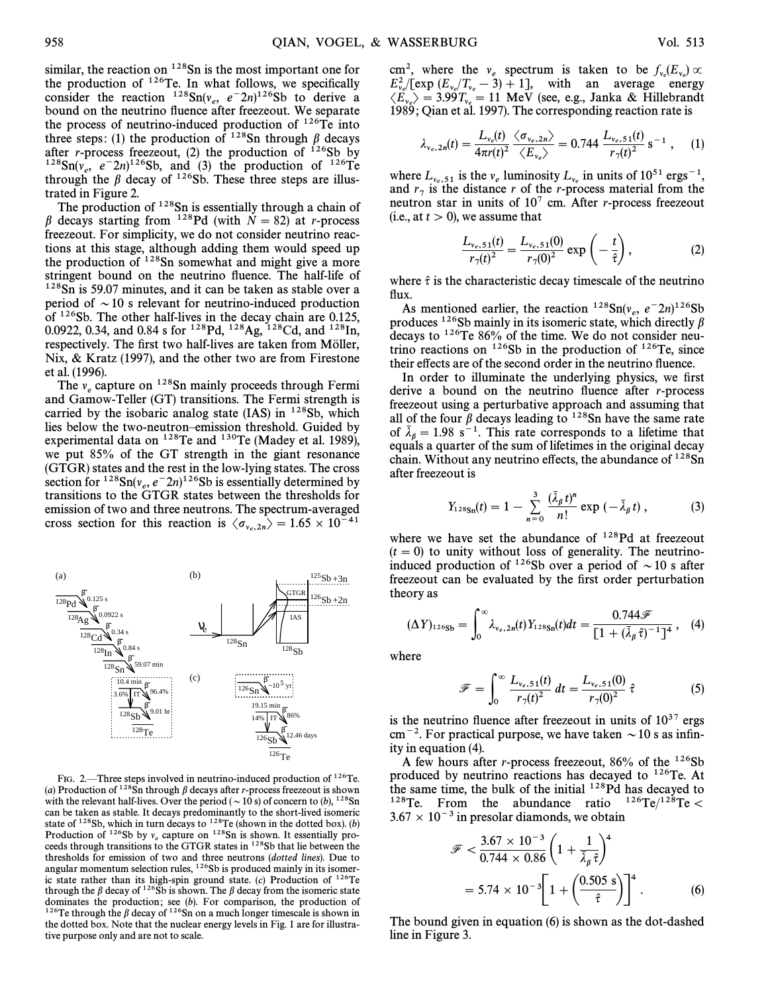similar, the reaction on  $128$ Sn is the most important one for the production of  $126$ Te. In what follows, we specifically consider the reaction  $1^{28} \text{Sn}(v_e, e^{-2n})^{126}$ Sb to derive a hound on the neutrino fluence after freezeout. We separate bound on the neutrino fluence after freezeout. We separate the process of neutrino-induced production of  $^{126}$ Te into three steps: (1) the production of  $128$ Sn through  $\beta$  decays after *r*-process freezeout, (2) the production of  $126Sb$  by <sup>128</sup>Sn( $v_e$ ,  $e^{-2n}$ )<sup>126</sup>Sb, and (3) the production of <sup>126</sup>Te through the  $\beta$  decay of <sup>126</sup>Sb. These three steps are illustrated in Figure 2.

The production of  $128$ Sn is essentially through a chain of  $\beta$  decays starting from <sup>128</sup>Pd (with  $N = 82$ ) at r-process freezeout. For simplicity, we do not consider neutrino reactions at this stage, although adding them would speed up the production of <sup>128</sup>Sn somewhat and might give a more stringent bound on the neutrino fluence. The half-life of <sup>128</sup>Sn is 59.07 minutes, and it can be taken as stable over a period of  $\sim$  10 s relevant for neutrino-induced production of  $126Sb$ . The other half-lives in the decay chain are 0.125, 0.0922, 0.34, and 0.84 s for <sup>128</sup>Pd, <sup>128</sup>Ag, <sup>128</sup>Cd, and <sup>128</sup>In, respectively. The first two half-lives are taken from Möller, Nix, & Kratz (1997), and the other two are from Firestone

et al. (1996).<br>The  $v_e$  capture on <sup>128</sup>Sn mainly proceeds through Fermi and Gamow-Teller (GT) transitions. The Fermi strength is carried by the isobaric analog state (IAS) in <sup>128</sup>Sb, which lies below the two-neutron-emission threshold. Guided by experimental data on  $128$ Te and  $130$ Te (Madey et al. 1989), we put 85% of the GT strength in the giant resonance (GTGR) states and the rest in the low-lying states. The cross section for  $128\text{Sn}(v_e, e^-2n)^{126}\text{Sb}$  is essentially determined by transitions to the GTGP states between the thresholds for transitions to the GTGR states between the thresholds for emission of two and three neutrons. The spectrum-averaged cross section for this reaction is  $\langle \sigma_{v_e,2n} \rangle = 1.65 \times 10^{-41}$ 



FIG. 2.—Three steps involved in neutrino-induced production of  $126$ Te. (a) Production of <sup>128</sup>Sn through  $\beta$  decays after r-process freezeout is shown with the relevant half-lives. Over the period ( $\sim 10$  s) of concern to (b), <sup>128</sup>Sn can be taken as stable. It decays predominantly to the short-lived isomeric state of <sup>128</sup>Sb, which in turn decays to <sup>128</sup>Te (shown in the dotted box). (b) Production of <sup>126</sup>Sb by  $v_e$  capture on <sup>128</sup>Sn is shown. It essentially proceeds through transitions to the GTGR states in <sup>128</sup>Sb that lie between the thresholds for emission of two and three neutrons (dotted lines). Due to angular momentum selection rules, <sup>126</sup>Sb is produced mainly in its isomeric state rather than its high-spin ground state. (c) Production of  $^{126}$ Te through the  $\beta$  decay of <sup>126</sup>Sb is shown. The  $\beta$  decay from the isomeric state dominates the production; see  $(b)$ . For comparison, the production of <sup>126</sup>Te through the  $\beta$  decay of <sup>126</sup>Sn on a much longer timescale is shown in the dotted box. Note that the nuclear energy levels in Fig. 1 are for illustrative purpose only and are not to scale.

cm<sup>2</sup>, where the  $v_e$  spectrum is taken to be  $f_v(E_v) \propto$ <br> $E^2$  (Fexp (F /T = 3) + 1] with an average energy  $E_v^2/[\exp{(E_v/T_v - 3)} + 1]$ , with an average energy  $\langle E_{\nu_e} \rangle = 3.99 T_{\nu_e} = 11 \text{ MeV (see, e.g., Janka & Hillebrandt)}$ <br>1989: Oian et al. 1997). The corresponding reaction rate is 1989 ; Qian et al. 1997). The corresponding reaction rate is

$$
\lambda_{v_e,2n}(t) = \frac{L_{v_e}(t)}{4\pi r(t)^2} \frac{\langle \sigma_{v_e,2n} \rangle}{\langle E_{v_e} \rangle} = 0.744 \frac{L_{v_e,51}(t)}{r_7(t)^2} \,\mathrm{s}^{-1} \;, \quad (1)
$$

where  $L_{v_e,51}$  is the  $v_e$  luminosity  $L_{v_e}$  in units of  $10^{51}$  ergs<sup>-1</sup>, and  $r_7$  is the distance r of the r-process material from the neutron star in units of  $10^7$  cm. After r-process freezeout (i.e., at  $t > 0$ ), we assume that

$$
\frac{L_{\nu_e,51}(t)}{r_7(t)^2} = \frac{L_{\nu_e,51}(0)}{r_7(0)^2} \exp\left(-\frac{t}{\hat{\tau}}\right),\tag{2}
$$

where  $\hat{\tau}$  is the characteristic decay timescale of the neutrino flux.

As mentioned earlier, the reaction  $^{128}Sn(v_e, e^{-2n})^{126}Sb$ <br>oduces  $^{126}Sh$  mainly in its isomeric state, which directly *B* produces  $126Sb$  mainly in its isomeric state, which directly  $\beta$ decays to 126Te 86% of the time. We do not consider neutrino reactions on  $126Sb$  in the production of  $126Te$ , since their effects are of the second order in the neutrino fluence.

In order to illuminate the underlying physics, we first derive a bound on the neutrino fluence after  $r$ -process freezeout using a perturbative approach and assuming that all of the four  $\beta$  decays leading to <sup>128</sup>Sn have the same rate of  $\bar{\lambda}_\beta = 1.98 \text{ s}^{-1}$ . This rate corresponds to a lifetime that  $\log_{10}$  and  $\log_{10}$  is the sum of lifetimes in the original decay chain. Without any neutrino effects, the abundance of  $128Sn$ after freezeout is

$$
Y_{128\text{Sn}}(t) = 1 - \sum_{n=0}^{3} \frac{(\bar{\lambda}_{\beta} t)^n}{n!} \exp\left(-\bar{\lambda}_{\beta} t\right), \tag{3}
$$

where we have set the abundance of  $128Pd$  at freezeout  $(t = 0)$  to unity without loss of generality. The neutrinoinduced production of <sup>126</sup>Sb over a period of  $\sim$  10 s after freezeout can be evaluated by the first order perturbation theory as

$$
(\Delta Y)_{126\text{Sb}} = \int_0^\infty \lambda_{\nu_e, 2n}(t) Y_{128\text{Sn}}(t) dt = \frac{0.744\mathcal{F}}{[1 + (\bar{\lambda}_\beta \hat{\tau})^{-1}]^4}, \quad (4)
$$

where

$$
\mathcal{F} = \int_0^\infty \frac{L_{\nu_e,51}(t)}{r_7(t)^2} dt = \frac{L_{\nu_e,51}(0)}{r_7(0)^2} \hat{\tau}
$$
 (5)

is the neutrino fluence after freezeout in units of  $10^{37}$  ergs cm<sup>-2</sup>. For practical purpose, we have taken  $\sim$  10 s as infinity in equation (4).

A few hours after *r*-process freezeout,  $86\%$  of the  $126Sb$ produced by neutrino reactions has decayed to 126Te. At the same time, the bulk of the initial <sup>128</sup>Pd has decayed to <sup>128</sup>Te. From the abundance ratio  $126\text{Te}/128\text{Te}$  $128$ Te. From the abundance ratio  $3.67 \times 10^{-3}$  in presolar diamonds, we obtain

$$
\mathcal{F} < \frac{3.67 \times 10^{-3}}{0.744 \times 0.86} \left(1 + \frac{1}{\overline{\lambda}_{\beta} \hat{\tau}}\right)^4
$$
  
= 5.74 × 10<sup>-3</sup>  $\left[1 + \left(\frac{0.505 \text{ s}}{\hat{\tau}}\right)\right]^4$ . (6)

The bound given in equation (6) is shown as the dot-dashed line in Figure 3.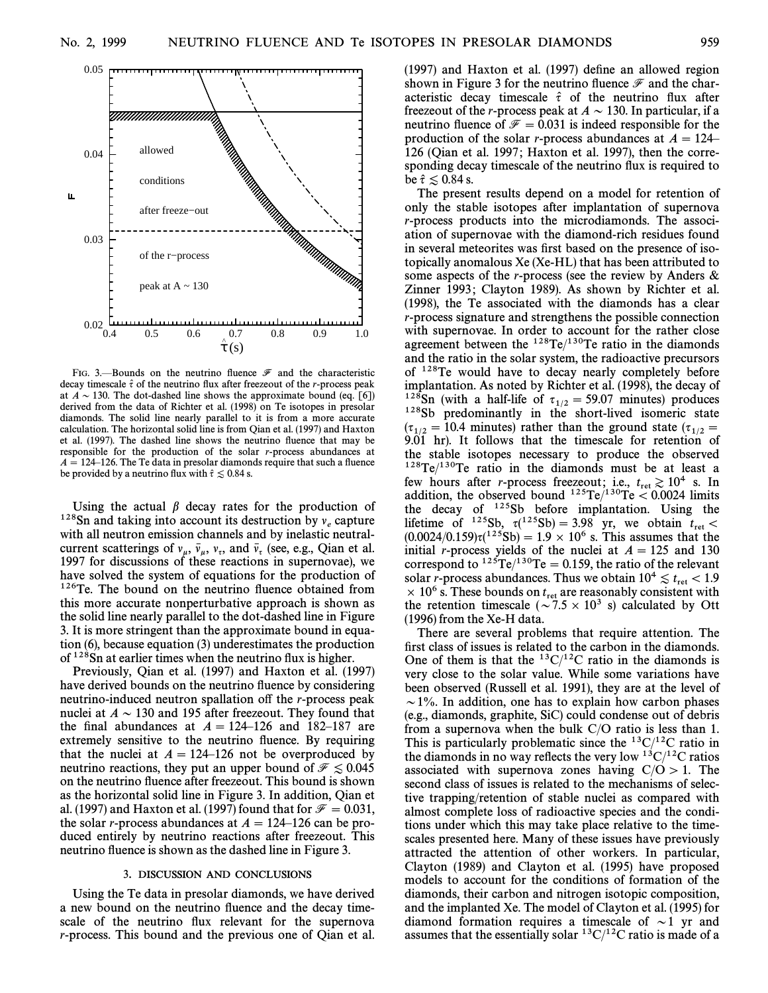

FIG. 3.—Bounds on the neutrino fluence  $\mathcal F$  and the characteristic decay timescale  $\hat{\tau}$  of the neutrino flux after freezeout of the *r*-process peak at  $A \sim 130$ . The dot-dashed line shows the approximate bound (eq. [6]) derived from the data of Richter et al. (1998) on Te isotopes in presolar diamonds. The solid line nearly parallel to it is from a more accurate calculation. The horizontal solid line is from Qian et al. (1997) and Haxton et al. (1997). The dashed line shows the neutrino fluence that may be responsible for the production of the solar r-process abundances at  $A = 124-126$ . The Te data in presolar diamonds require that such a fluence be provided by a neutrino flux with  $\hat{\tau} \lesssim 0.84$  s.

Using the actual  $\beta$  decay rates for the production of <sup>128</sup>Sn and taking into account its destruction by  $v_e$  capture with all neutron emission channels and by inelastic neutralcurrent scatterings of  $v_{\mu}$ ,  $\bar{v}_{\mu}$ ,  $v_{\tau}$ , and  $\bar{v}_{\tau}$  (see, e.g., Qian et al. 1007 for discussions of these reactions in supernovae), we 1997 for discussions of these reactions in supernovae), we have solved the system of equations for the production of  $126$ Te. The bound on the neutrino fluence obtained from this more accurate nonperturbative approach is shown as the solid line nearly parallel to the dot-dashed line in Figure 3. It is more stringent than the approximate bound in equation (6), because equation (3) underestimates the production of  $128$ Sn at earlier times when the neutrino flux is higher.

Previously, Qian et al. (1997) and Haxton et al. (1997) have derived bounds on the neutrino fluence by considering neutrino-induced neutron spallation off the *r*-process peak nuclei at  $A \sim 130$  and 195 after freezeout. They found that the final abundances at  $A = 124-126$  and 182–187 are extremely sensitive to the neutrino fluence. By requiring that the nuclei at  $A = 124-126$  not be overproduced by neutrino reactions, they put an upper bound of  $\mathcal{F} \leq 0.045$ on the neutrino fluence after freezeout. This bound is shown as the horizontal solid line in Figure 3. In addition, Qian et al. (1997) and Haxton et al. (1997) found that for  $\mathcal{F} = 0.031$ , the solar r-process abundances at  $A=124-126$  can be produced entirely by neutrino reactions after freezeout. This neutrino fluence is shown as the dashed line in Figure 3.

#### 3. DISCUSSION AND CONCLUSIONS

Using the Te data in presolar diamonds, we have derived a new bound on the neutrino fluence and the decay timescale of the neutrino flux relevant for the supernova r-process. This bound and the previous one of Qian et al.

 $(1997)$  and Haxton et al.  $(1997)$  define an allowed region shown in Figure 3 for the neutrino fluence  $\mathcal F$  and the characteristic decay timescale  $\hat{\tau}$  of the neutrino flux after freezeout of the *r*-process peak at  $A \sim 130$ . In particular, if a neutrino fluence of  $\mathcal{F} = 0.031$  is indeed responsible for the production of the solar r-process abundances at  $A=124$ <sup> $-$ </sup> 126 (Qian et al. 1997; Haxton et al. 1997), then the corresponding decay timescale of the neutrino flux is required to be  $\hat{\tau} \lesssim 0.84$  s.

The present results depend on a model for retention of only the stable isotopes after implantation of supernova r-process products into the microdiamonds. The association of supernovae with the diamond-rich residues found in several meteorites was first based on the presence of isotopically anomalous Xe (Xe-HL) that has been attributed to some aspects of the r-process (see the review by Anders  $\&$ Zinner 1993; Clayton 1989). As shown by Richter et al. (1998), the Te associated with the diamonds has a clear r-process signature and strengthens the possible connection with supernovae. In order to account for the rather close agreement between the  $^{128}$ Te/ $^{130}$ Te ratio in the diamonds and the ratio in the solar system, the radioactive precursors of 128Te would have to decay nearly completely before implantation. As noted by Richter et al. (1998), the decay of <sup>128</sup>Sn (with a half-life of  $\tau_{1/2} = 59.07$  minutes) produces  $\tau_{12}$ <sup>128</sup>Sh, predominantly in the short lived isomeric state <sup>128</sup>Sb predominantly in the short-lived isomeric state  $(\tau_{1/2} = 10.4 \text{ minutes})$  rather than the ground state  $(\tau_{1/2} = 0.01 \text{ hr})$ . It follows that the timescale for retention of  $9.01$  hr). It follows that the timescale for retention of the stable isotopes necessary to produce the observed  $128$ Te/ $130$ Te ratio in the diamonds must be at least a few hours after *r*-process freezeout; i.e.,  $t_{\text{ret}} \geq 10^4$  s. In addition, the observed bound  $125 \text{Te}/130 \text{Te} < 0.0024$  limits the decay of  $125Sb$  before implantation. Using the lifetime of  $^{125}Sb$ ,  $\tau(^{125}Sb) = 3.98$  yr, we obtain  $t_{\text{ret}} < (0.0024/0.159)\tau(^{125}Sb) = 1.9 \times 10^6$  s. This assumes that the initial *r*-process yields of the nuclei at  $A = 125$  and 130 correspond to  $^{125}Te/^{130}Te=0.159$ , the ratio of the relevant solar *r*-process abundances. Thus we obtain  $10^4 \le t_{\text{ret}} < 1.9$ <br> $\times 10^6$  s. These bounds on two are reasonably consistent with  $\times$  10<sup>6</sup> s. These bounds on  $t_{\text{ret}}$  are reasonably consistent with the retention timescale ( $\sim$  7.5  $\times$  10<sup>3</sup> s) calculated by Ott (1996) from the Xe-H data.

There are several problems that require attention. The first class of issues is related to the carbon in the diamonds. One of them is that the  $^{13}C/^{12}C$  ratio in the diamonds is very close to the solar value. While some variations have been observed (Russell et al. 1991), they are at the level of  $\sim$  1%. In addition, one has to explain how carbon phases (e.g., diamonds, graphite, SiC) could condense out of debris from a supernova when the bulk  $C/O$  ratio is less than 1. This is particularly problematic since the  ${}^{13}C/{}^{12}C$  ratio in the diamonds in no way reflects the very low  $13C/12C$  ratios associated with supernova zones having  $C/O > 1$ . The second class of issues is related to the mechanisms of selective trapping/retention of stable nuclei as compared with almost complete loss of radioactive species and the conditions under which this may take place relative to the timescales presented here. Many of these issues have previously attracted the attention of other workers. In particular, Clayton (1989) and Clayton et al. (1995) have proposed models to account for the conditions of formation of the diamonds, their carbon and nitrogen isotopic composition, and the implanted Xe. The model of Clayton et al. (1995) for diamond formation requires a timescale of  $\sim$  1 yr and assumes that the essentially solar  ${}^{13}C/{}^{12}C$  ratio is made of a